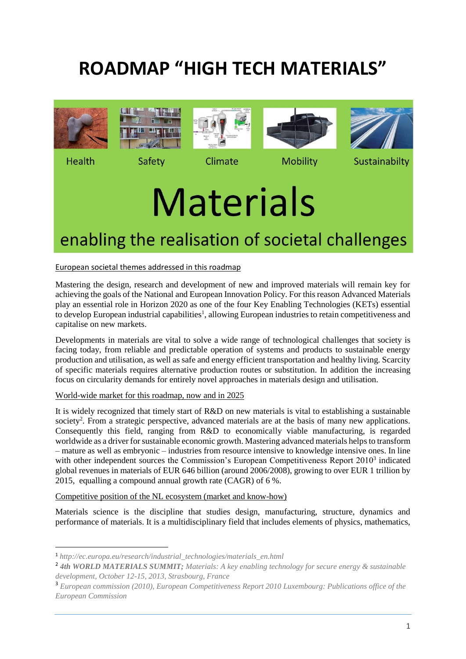# **ROADMAP "HIGH TECH MATERIALS"**









**Health** 

1

Safety

Climate

# **Mobility**

Sustainabilty

# **Materials**

# enabling the realisation of societal challenges

# European societal themes addressed in this roadmap

Mastering the design, research and development of new and improved materials will remain key for achieving the goals of the National and European Innovation Policy. For this reason Advanced Materials play an essential role in Horizon 2020 as one of the four Key Enabling Technologies (KETs) essential to develop European industrial capabilities<sup>1</sup>, allowing European industries to retain competitiveness and capitalise on new markets.

Developments in materials are vital to solve a wide range of technological challenges that society is facing today, from reliable and predictable operation of systems and products to sustainable energy production and utilisation, as well as safe and energy efficient transportation and healthy living. Scarcity of specific materials requires alternative production routes or substitution. In addition the increasing focus on circularity demands for entirely novel approaches in materials design and utilisation.

# World-wide market for this roadmap, now and in 2025

It is widely recognized that timely start of R&D on new materials is vital to establishing a sustainable society<sup>2</sup>. From a strategic perspective, advanced materials are at the basis of many new applications. Consequently this field, ranging from R&D to economically viable manufacturing, is regarded worldwide as a driver for sustainable economic growth. Mastering advanced materials helps to transform – mature as well as embryonic – industries from resource intensive to knowledge intensive ones. In line with other independent sources the Commission's European Competitiveness Report 2010<sup>3</sup> indicated global revenues in materials of EUR 646 billion (around 2006/2008), growing to over EUR 1 trillion by 2015, equalling a compound annual growth rate (CAGR) of 6 %.

Competitive position of the NL ecosystem (market and know-how)

Materials science is the discipline that studies design, manufacturing, structure, dynamics and performance of materials. It is a multidisciplinary field that includes elements of physics, mathematics,

<sup>1</sup> *http://ec.europa.eu/research/industrial\_technologies/materials\_en.html*

<sup>2</sup> *4th WORLD MATERIALS SUMMIT; Materials: A key enabling technology for secure energy & sustainable development, October 12-15, 2013, Strasbourg, France*

<sup>3</sup> *European commission (2010), European Competitiveness Report 2010 Luxembourg: Publications office of the European Commission*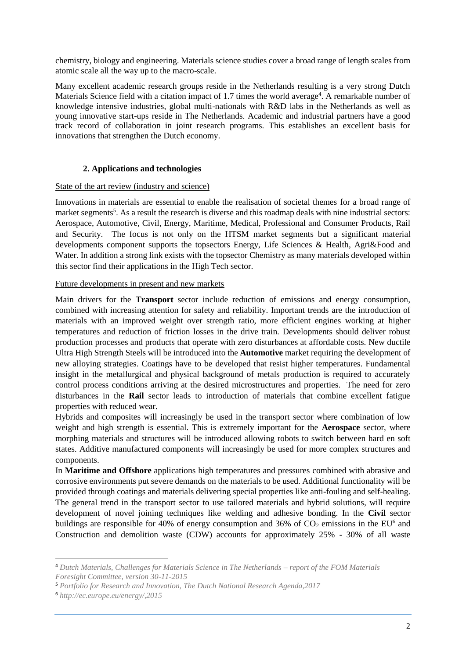chemistry, biology and engineering. Materials science studies cover a broad range of length scales from atomic scale all the way up to the macro-scale.

Many excellent academic research groups reside in the Netherlands resulting is a very strong Dutch Materials Science field with a citation impact of 1.7 times the world average<sup>4</sup>. A remarkable number of knowledge intensive industries, global multi-nationals with R&D labs in the Netherlands as well as young innovative start-ups reside in The Netherlands. Academic and industrial partners have a good track record of collaboration in joint research programs. This establishes an excellent basis for innovations that strengthen the Dutch economy.

# **2. Applications and technologies**

## State of the art review (industry and science)

Innovations in materials are essential to enable the realisation of societal themes for a broad range of market segments<sup>5</sup>. As a result the research is diverse and this roadmap deals with nine industrial sectors: Aerospace, Automotive, Civil, Energy, Maritime, Medical, Professional and Consumer Products, Rail and Security. The focus is not only on the HTSM market segments but a significant material developments component supports the topsectors Energy, Life Sciences & Health, Agri&Food and Water. In addition a strong link exists with the topsector Chemistry as many materials developed within this sector find their applications in the High Tech sector.

# Future developments in present and new markets

Main drivers for the **Transport** sector include reduction of emissions and energy consumption, combined with increasing attention for safety and reliability. Important trends are the introduction of materials with an improved weight over strength ratio, more efficient engines working at higher temperatures and reduction of friction losses in the drive train. Developments should deliver robust production processes and products that operate with zero disturbances at affordable costs. New ductile Ultra High Strength Steels will be introduced into the **Automotive** market requiring the development of new alloying strategies. Coatings have to be developed that resist higher temperatures. Fundamental insight in the metallurgical and physical background of metals production is required to accurately control process conditions arriving at the desired microstructures and properties. The need for zero disturbances in the **Rail** sector leads to introduction of materials that combine excellent fatigue properties with reduced wear.

Hybrids and composites will increasingly be used in the transport sector where combination of low weight and high strength is essential. This is extremely important for the **Aerospace** sector, where morphing materials and structures will be introduced allowing robots to switch between hard en soft states. Additive manufactured components will increasingly be used for more complex structures and components.

In **Maritime and Offshore** applications high temperatures and pressures combined with abrasive and corrosive environments put severe demands on the materials to be used. Additional functionality will be provided through coatings and materials delivering special properties like anti-fouling and self-healing. The general trend in the transport sector to use tailored materials and hybrid solutions, will require development of novel joining techniques like welding and adhesive bonding. In the **Civil** sector buildings are responsible for 40% of energy consumption and 36% of  $CO<sub>2</sub>$  emissions in the EU<sup>6</sup> and Construction and demolition waste (CDW) accounts for approximately 25% - 30% of all waste

1

<sup>4</sup> *Dutch Materials, Challenges for Materials Science in The Netherlands – report of the FOM Materials Foresight Committee, version 30-11-2015*

<sup>5</sup> *Portfolio for Research and Innovation, The Dutch National Research Agenda,2017*

<sup>6</sup> *<http://ec.europe.eu/energy/,2015>*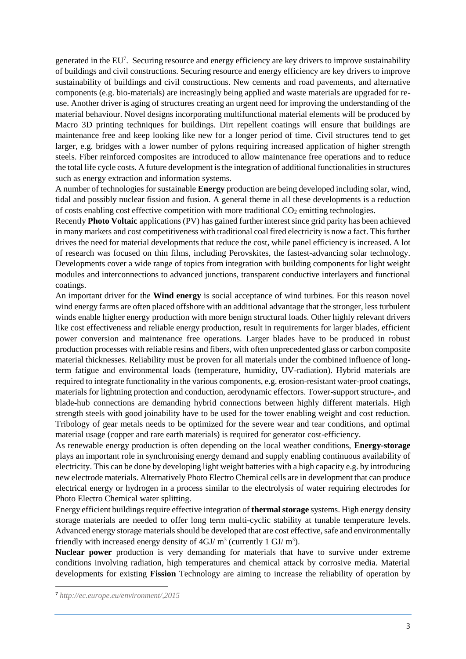generated in the EU<sup>7</sup>. Securing resource and energy efficiency are key drivers to improve sustainability of buildings and civil constructions. Securing resource and energy efficiency are key drivers to improve sustainability of buildings and civil constructions. New cements and road pavements, and alternative components (e.g. bio-materials) are increasingly being applied and waste materials are upgraded for reuse. Another driver is aging of structures creating an urgent need for improving the understanding of the material behaviour. Novel designs incorporating multifunctional material elements will be produced by Macro 3D printing techniques for buildings. Dirt repellent coatings will ensure that buildings are maintenance free and keep looking like new for a longer period of time. Civil structures tend to get larger, e.g. bridges with a lower number of pylons requiring increased application of higher strength steels. Fiber reinforced composites are introduced to allow maintenance free operations and to reduce the total life cycle costs. A future development is the integration of additional functionalities in structures such as energy extraction and information systems.

A number of technologies for sustainable **Energy** production are being developed including solar, wind, tidal and possibly nuclear fission and fusion. A general theme in all these developments is a reduction of costs enabling cost effective competition with more traditional  $CO<sub>2</sub>$  emitting technologies.

Recently **Photo Voltaic** applications (PV) has gained further interest since grid parity has been achieved in many markets and cost competitiveness with traditional coal fired electricity is now a fact. This further drives the need for material developments that reduce the cost, while panel efficiency is increased. A lot of research was focused on thin films, including Perovskites, the fastest-advancing solar technology. Developments cover a wide range of topics from integration with building components for light weight modules and interconnections to advanced junctions, transparent conductive interlayers and functional coatings.

An important driver for the **Wind energy** is social acceptance of wind turbines. For this reason novel wind energy farms are often placed offshore with an additional advantage that the stronger, less turbulent winds enable higher energy production with more benign structural loads. Other highly relevant drivers like cost effectiveness and reliable energy production, result in requirements for larger blades, efficient power conversion and maintenance free operations. Larger blades have to be produced in robust production processes with reliable resins and fibers, with often unprecedented glass or carbon composite material thicknesses. Reliability must be proven for all materials under the combined influence of longterm fatigue and environmental loads (temperature, humidity, UV-radiation). Hybrid materials are required to integrate functionality in the various components, e.g. erosion-resistant water-proof coatings, materials for lightning protection and conduction, aerodynamic effectors. Tower-support structure-, and blade-hub connections are demanding hybrid connections between highly different materials. High strength steels with good joinability have to be used for the tower enabling weight and cost reduction. Tribology of gear metals needs to be optimized for the severe wear and tear conditions, and optimal material usage (copper and rare earth materials) is required for generator cost-efficiency.

As renewable energy production is often depending on the local weather conditions, **Energy-storage** plays an important role in synchronising energy demand and supply enabling continuous availability of electricity. This can be done by developing light weight batteries with a high capacity e.g. by introducing new electrode materials. Alternatively Photo Electro Chemical cells are in development that can produce electrical energy or hydrogen in a process similar to the electrolysis of water requiring electrodes for Photo Electro Chemical water splitting.

Energy efficient buildings require effective integration of **thermal storage** systems. High energy density storage materials are needed to offer long term multi-cyclic stability at tunable temperature levels. Advanced energy storage materials should be developed that are cost effective, safe and environmentally friendly with increased energy density of  $4 \text{GJ/m}^3$  (currently  $1 \text{ GJ/m}^3$ ).

**Nuclear power** production is very demanding for materials that have to survive under extreme conditions involving radiation, high temperatures and chemical attack by corrosive media. Material developments for existing **Fission** Technology are aiming to increase the reliability of operation by

**.** 

<sup>7</sup> *http://ec.europe.eu/environment/,2015*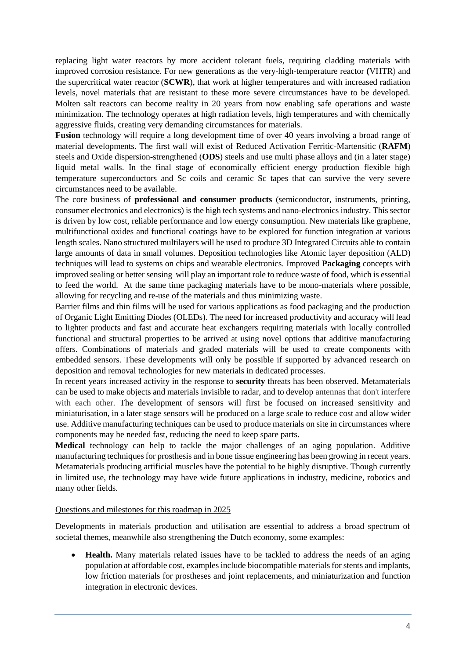replacing light water reactors by more accident tolerant fuels, requiring cladding materials with improved corrosion resistance. For new generations as the very-high-temperature reactor **(**VHTR) and the supercritical water reactor (**SCWR**), that work at higher temperatures and with increased radiation levels, novel materials that are resistant to these more severe circumstances have to be developed. Molten salt reactors can become reality in 20 years from now enabling safe operations and waste minimization. The technology operates at high radiation levels, high temperatures and with chemically aggressive fluids, creating very demanding circumstances for materials.

**Fusion** technology will require a long development time of over 40 years involving a broad range of material developments. The first wall will exist of Reduced Activation Ferritic-Martensitic (**RAFM**) steels and Oxide dispersion-strengthened (**ODS**) steels and use multi phase alloys and (in a later stage) liquid metal walls. In the final stage of economically efficient energy production flexible high temperature superconductors and Sc coils and ceramic Sc tapes that can survive the very severe circumstances need to be available.

The core business of **professional and consumer products** (semiconductor, instruments, printing, consumer electronics and electronics) is the high tech systems and nano-electronics industry. This sector is driven by low cost, reliable performance and low energy consumption. New materials like graphene, multifunctional oxides and functional coatings have to be explored for function integration at various length scales. Nano structured multilayers will be used to produce 3D Integrated Circuits able to contain large amounts of data in small volumes. Deposition technologies like Atomic layer deposition (ALD) techniques will lead to systems on chips and wearable electronics. Improved **Packaging** concepts with improved sealing or better sensing will play an important role to reduce waste of food, which is essential to feed the world. At the same time packaging materials have to be mono-materials where possible, allowing for recycling and re-use of the materials and thus minimizing waste.

Barrier films and thin films will be used for various applications as food packaging and the production of Organic Light Emitting Diodes (OLEDs). The need for increased productivity and accuracy will lead to lighter products and fast and accurate heat exchangers requiring materials with locally controlled functional and structural properties to be arrived at using novel options that additive manufacturing offers. Combinations of materials and graded materials will be used to create components with embedded sensors. These developments will only be possible if supported by advanced research on deposition and removal technologies for new materials in dedicated processes.

In recent years increased activity in the response to **security** threats has been observed. Metamaterials can be used to make objects and materials invisible to radar, and to develop antennas that don't interfere with each other. The development of sensors will first be focused on increased sensitivity and miniaturisation, in a later stage sensors will be produced on a large scale to reduce cost and allow wider use. Additive manufacturing techniques can be used to produce materials on site in circumstances where components may be needed fast, reducing the need to keep spare parts.

**Medical** technology can help to tackle the major challenges of an aging population. Additive manufacturing techniques for prosthesis and in bone tissue engineering has been growing in recent years. Metamaterials producing artificial muscles have the potential to be highly disruptive. Though currently in limited use, the technology may have wide future applications in industry, medicine, robotics and many other fields.

#### Questions and milestones for this roadmap in 2025

Developments in materials production and utilisation are essential to address a broad spectrum of societal themes, meanwhile also strengthening the Dutch economy, some examples:

• **Health.** Many materials related issues have to be tackled to address the needs of an aging population at affordable cost, examples include biocompatible materials for stents and implants, low friction materials for prostheses and joint replacements, and miniaturization and function integration in electronic devices.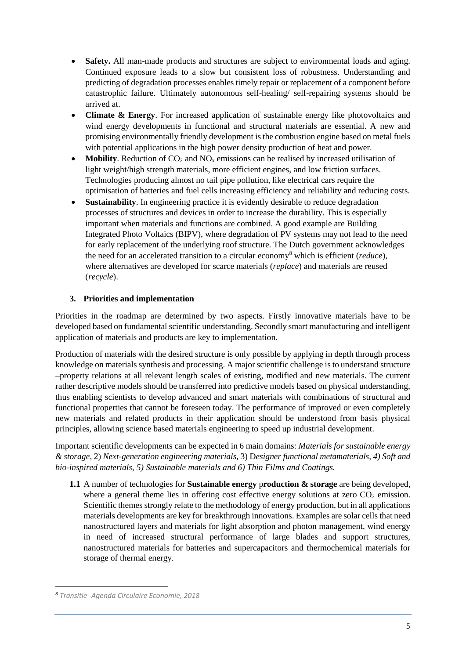- **Safety.** All man-made products and structures are subject to environmental loads and aging. Continued exposure leads to a slow but consistent loss of robustness. Understanding and predicting of degradation processes enables timely repair or replacement of a component before catastrophic failure. Ultimately autonomous self-healing/ self-repairing systems should be arrived at.
- **Climate & Energy**. For increased application of sustainable energy like photovoltaics and wind energy developments in functional and structural materials are essential. A new and promising environmentally friendly development is the combustion engine based on metal fuels with potential applications in the high power density production of heat and power.
- **Mobility**. Reduction of  $CO_2$  and  $NO_x$  emissions can be realised by increased utilisation of light weight/high strength materials, more efficient engines, and low friction surfaces. Technologies producing almost no tail pipe pollution, like electrical cars require the optimisation of batteries and fuel cells increasing efficiency and reliability and reducing costs.
- **Sustainability**. In engineering practice it is evidently desirable to reduce degradation processes of structures and devices in order to increase the durability. This is especially important when materials and functions are combined. A good example are Building Integrated Photo Voltaics (BIPV), where degradation of PV systems may not lead to the need for early replacement of the underlying roof structure. The Dutch government acknowledges the need for an accelerated transition to a circular economy<sup>8</sup> which is efficient (*reduce*), where alternatives are developed for scarce materials (*replace*) and materials are reused (*recycle*).

# **3. Priorities and implementation**

Priorities in the roadmap are determined by two aspects. Firstly innovative materials have to be developed based on fundamental scientific understanding. Secondly smart manufacturing and intelligent application of materials and products are key to implementation.

Production of materials with the desired structure is only possible by applying in depth through process knowledge on materials synthesis and processing. A major scientific challenge is to understand structure –property relations at all relevant length scales of existing, modified and new materials. The current rather descriptive models should be transferred into predictive models based on physical understanding, thus enabling scientists to develop advanced and smart materials with combinations of structural and functional properties that cannot be foreseen today. The performance of improved or even completely new materials and related products in their application should be understood from basis physical principles, allowing science based materials engineering to speed up industrial development.

Important scientific developments can be expected in 6 main domains: *Materials for sustainable energy & storage*, 2) *Next-generation engineering materials,* 3) D*esigner functional metamaterials, 4) Soft and bio-inspired materials, 5) Sustainable materials and 6) Thin Films and Coatings.* 

**1.1** A number of technologies for **Sustainable energy** p**roduction & storage** are being developed, where a general theme lies in offering cost effective energy solutions at zero  $CO<sub>2</sub>$  emission. Scientific themes strongly relate to the methodology of energy production, but in all applications materials developments are key for breakthrough innovations. Examples are solar cells that need nanostructured layers and materials for light absorption and photon management, wind energy in need of increased structural performance of large blades and support structures, nanostructured materials for batteries and supercapacitors and thermochemical materials for storage of thermal energy.

**.** 

<sup>8</sup> *Transitie -Agenda Circulaire Economie, 2018*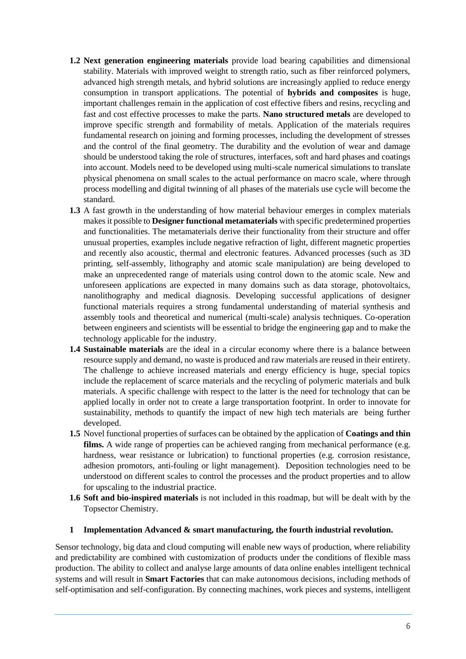- **1.2 Next generation engineering materials** provide load bearing capabilities and dimensional stability. Materials with improved weight to strength ratio, such as fiber reinforced polymers, advanced high strength metals, and hybrid solutions are increasingly applied to reduce energy consumption in transport applications. The potential of **hybrids and composites** is huge, important challenges remain in the application of cost effective fibers and resins, recycling and fast and cost effective processes to make the parts. **Nano structured metals** are developed to improve specific strength and formability of metals. Application of the materials requires fundamental research on joining and forming processes, including the development of stresses and the control of the final geometry. The durability and the evolution of wear and damage should be understood taking the role of structures, interfaces, soft and hard phases and coatings into account. Models need to be developed using multi-scale numerical simulations to translate physical phenomena on small scales to the actual performance on macro scale, where through process modelling and digital twinning of all phases of the materials use cycle will become the standard.
- **1.3** A fast growth in the understanding of how material behaviour emerges in complex materials makes it possible to **Designer functional metamaterials** with specific predetermined properties and functionalities. The metamaterials derive their functionality from their structure and offer unusual properties, examples include negative refraction of light, different magnetic properties and recently also acoustic, thermal and electronic features. Advanced processes (such as 3D printing, self-assembly, lithography and atomic scale manipulation) are being developed to make an unprecedented range of materials using control down to the atomic scale. New and unforeseen applications are expected in many domains such as data storage, photovoltaics, nanolithography and medical diagnosis. Developing successful applications of designer functional materials requires a strong fundamental understanding of material synthesis and assembly tools and theoretical and numerical (multi-scale) analysis techniques. Co-operation between engineers and scientists will be essential to bridge the engineering gap and to make the technology applicable for the industry.
- **1.4 Sustainable materials** are the ideal in a circular economy where there is a balance between resource supply and demand, no waste is produced and raw materials are reused in their entirety. The challenge to achieve increased materials and energy efficiency is huge, special topics include the replacement of scarce materials and the recycling of polymeric materials and bulk materials. A specific challenge with respect to the latter is the need for technology that can be applied locally in order not to create a large transportation footprint. In order to innovate for sustainability, methods to quantify the impact of new high tech materials are being further developed.
- **1.5** Novel functional properties of surfaces can be obtained by the application of **Coatings and thin films.** A wide range of properties can be achieved ranging from mechanical performance (e.g. hardness, wear resistance or lubrication) to functional properties (e.g. corrosion resistance, adhesion promotors, anti-fouling or light management). Deposition technologies need to be understood on different scales to control the processes and the product properties and to allow for upscaling to the industrial practice.
- **1.6 Soft and bio-inspired materials** is not included in this roadmap, but will be dealt with by the Topsector Chemistry.

# **1 Implementation Advanced & smart manufacturing, the fourth industrial revolution.**

Sensor technology, big data and cloud computing will enable new ways of production, where reliability and predictability are combined with customization of products under the conditions of flexible mass production. The ability to collect and analyse large amounts of data online enables intelligent technical systems and will result in **Smart Factories** that can make autonomous decisions, including methods of self-optimisation and self-configuration. By connecting machines, work pieces and systems, intelligent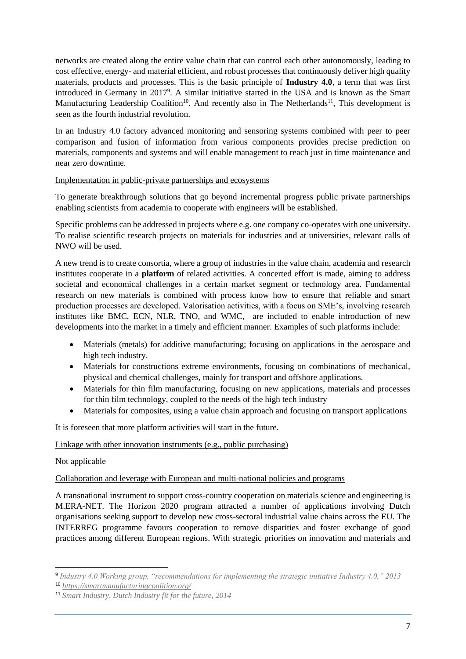networks are created along the entire value chain that can control each other autonomously, leading to cost effective, energy- and material efficient, and robust processes that continuously deliver high quality materials, products and processes. This is the basic principle of **Industry 4.0**, a term that was first introduced in Germany in 2017 9 . A similar initiative started in the USA and is known as the Smart Manufacturing Leadership Coalition<sup>10</sup>. And recently also in The Netherlands<sup>11</sup>, This development is seen as the fourth industrial revolution.

In an Industry 4.0 factory advanced monitoring and sensoring systems combined with peer to peer comparison and fusion of information from various components provides precise prediction on materials, components and systems and will enable management to reach just in time maintenance and near zero downtime.

## Implementation in public-private partnerships and ecosystems

To generate breakthrough solutions that go beyond incremental progress public private partnerships enabling scientists from academia to cooperate with engineers will be established.

Specific problems can be addressed in projects where e.g. one company co-operates with one university. To realise scientific research projects on materials for industries and at universities, relevant calls of NWO will be used.

A new trend is to create consortia, where a group of industries in the value chain, academia and research institutes cooperate in a **platform** of related activities. A concerted effort is made, aiming to address societal and economical challenges in a certain market segment or technology area. Fundamental research on new materials is combined with process know how to ensure that reliable and smart production processes are developed. Valorisation activities, with a focus on SME's, involving research institutes like BMC, ECN, NLR, TNO, and WMC, are included to enable introduction of new developments into the market in a timely and efficient manner. Examples of such platforms include:

- Materials (metals) for additive manufacturing; focusing on applications in the aerospace and high tech industry.
- Materials for constructions extreme environments, focusing on combinations of mechanical, physical and chemical challenges, mainly for transport and offshore applications.
- Materials for thin film manufacturing, focusing on new applications, materials and processes for thin film technology, coupled to the needs of the high tech industry
- Materials for composites, using a value chain approach and focusing on transport applications

It is foreseen that more platform activities will start in the future.

# Linkage with other innovation instruments (e.g., public purchasing)

# Not applicable

**.** 

# Collaboration and leverage with European and multi-national policies and programs

A transnational instrument to support cross-country cooperation on materials science and engineering is M.ERA-NET. The Horizon 2020 program attracted a number of applications involving Dutch organisations seeking support to develop new cross-sectoral industrial value chains across the EU. The INTERREG programme favours cooperation to remove disparities and foster exchange of good practices among different European regions. With strategic priorities on innovation and materials and

<sup>9</sup> *Industry 4.0 Working group, "recommendations for implementing the strategic initiative Industry 4.0," 2013*

<sup>10</sup> *<https://smartmanufacturingcoalition.org/>*

<sup>11</sup> *Smart Industry, Dutch Industry fit for the future, 2014*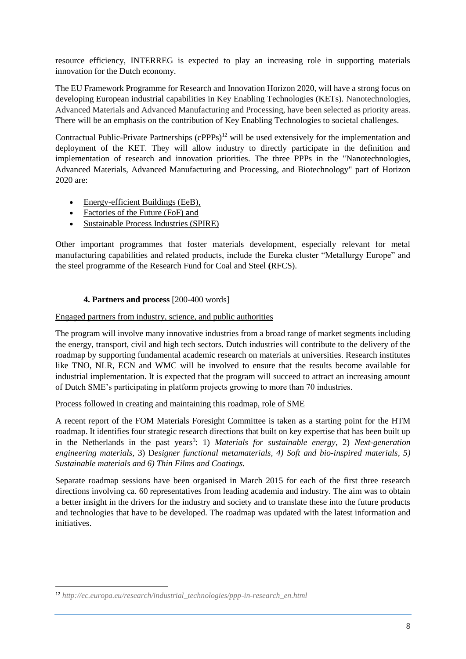resource efficiency, INTERREG is expected to play an increasing role in supporting materials innovation for the Dutch economy.

The EU Framework Programme for Research and Innovation Horizon 2020, will have a strong focus on developing European industrial capabilities in Key Enabling Technologies (KETs). Nanotechnologies, Advanced Materials and Advanced Manufacturing and Processing, have been selected as priority areas. There will be an emphasis on the contribution of Key Enabling Technologies to societal challenges.

Contractual Public-Private Partnerships (cPPPs)<sup>12</sup> will be used extensively for the implementation and deployment of the KET. They will allow industry to directly participate in the definition and implementation of research and innovation priorities. The three PPPs in the ["Nanotechnologies,](http://ec.europa.eu/programmes/horizon2020/en/h2020-section/nanotechnologies-advanced-materials-advanced-manufacturing-and-processing-and)  [Advanced Materials, Advanced Manufacturing and Processing, and Biotechnology"](http://ec.europa.eu/programmes/horizon2020/en/h2020-section/nanotechnologies-advanced-materials-advanced-manufacturing-and-processing-and) part of Horizon 2020 are:

- [Energy-efficient Buildings \(EeB\),](http://ec.europa.eu/research/industrial_technologies/energy-efficient-buildings_en.html)
- [Factories of the Future \(FoF\)](http://ec.europa.eu/research/industrial_technologies/factories-of-the-future_en.html) and
- [Sustainable Process Industries \(SPIRE\)](http://ec.europa.eu/research/industrial_technologies/ppp-in-research_en.html)

Other important programmes that foster materials development, especially relevant for metal manufacturing capabilities and related products, include the Eureka cluster "Metallurgy Europe" and the steel programme of the Research Fund for Coal and Steel **(**RFCS).

# **4. Partners and process** [200-400 words]

## Engaged partners from industry, science, and public authorities

The program will involve many innovative industries from a broad range of market segments including the energy, transport, civil and high tech sectors. Dutch industries will contribute to the delivery of the roadmap by supporting fundamental academic research on materials at universities. Research institutes like TNO, NLR, ECN and WMC will be involved to ensure that the results become available for industrial implementation. It is expected that the program will succeed to attract an increasing amount of Dutch SME's participating in platform projects growing to more than 70 industries.

Process followed in creating and maintaining this roadmap, role of SME

A recent report of the FOM Materials Foresight Committee is taken as a starting point for the HTM roadmap. It identifies four strategic research directions that built on key expertise that has been built up in the Netherlands in the past years<sup>3</sup>: 1) *Materials for sustainable energy*, 2) *Next-generation engineering materials,* 3) D*esigner functional metamaterials, 4) Soft and bio-inspired materials, 5) Sustainable materials and 6) Thin Films and Coatings.*

Separate roadmap sessions have been organised in March 2015 for each of the first three research directions involving ca. 60 representatives from leading academia and industry. The aim was to obtain a better insight in the drivers for the industry and society and to translate these into the future products and technologies that have to be developed. The roadmap was updated with the latest information and initiatives.

**.** 

<sup>12</sup> *http://ec.europa.eu/research/industrial\_technologies/ppp-in-research\_en.html*